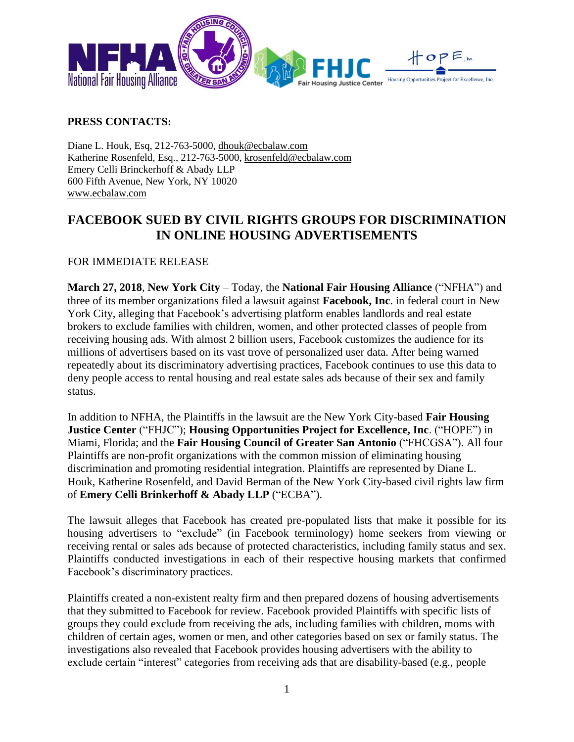

## **PRESS CONTACTS:**

Diane L. Houk, Esq, 212-763-5000, [dhouk@ecbalaw.com](mailto:dhouk@ecbalaw.com) Katherine Rosenfeld, Esq., 212-763-5000, [krosenfeld@ecbalaw.com](mailto:krosenfeld@ecbalaw.com) Emery Celli Brinckerhoff & Abady LLP 600 Fifth Avenue, New York, NY 10020 [www.ecbalaw.com](http://www.ecbalaw.com/)

## **FACEBOOK SUED BY CIVIL RIGHTS GROUPS FOR DISCRIMINATION IN ONLINE HOUSING ADVERTISEMENTS**

## FOR IMMEDIATE RELEASE

**March 27, 2018**, **New York City** – Today, the **National Fair Housing Alliance** ("NFHA") and three of its member organizations filed a lawsuit against **Facebook, Inc**. in federal court in New York City, alleging that Facebook's advertising platform enables landlords and real estate brokers to exclude families with children, women, and other protected classes of people from receiving housing ads. With almost 2 billion users, Facebook customizes the audience for its millions of advertisers based on its vast trove of personalized user data. After being warned repeatedly about its discriminatory advertising practices, Facebook continues to use this data to deny people access to rental housing and real estate sales ads because of their sex and family status.

In addition to NFHA, the Plaintiffs in the lawsuit are the New York City-based **Fair Housing Justice Center** ("FHJC"); **Housing Opportunities Project for Excellence, Inc**. ("HOPE") in Miami, Florida; and the **Fair Housing Council of Greater San Antonio** ("FHCGSA"). All four Plaintiffs are non-profit organizations with the common mission of eliminating housing discrimination and promoting residential integration. Plaintiffs are represented by Diane L. Houk, Katherine Rosenfeld, and David Berman of the New York City-based civil rights law firm of **Emery Celli Brinkerhoff & Abady LLP** ("ECBA").

The lawsuit alleges that Facebook has created pre-populated lists that make it possible for its housing advertisers to "exclude" (in Facebook terminology) home seekers from viewing or receiving rental or sales ads because of protected characteristics, including family status and sex. Plaintiffs conducted investigations in each of their respective housing markets that confirmed Facebook's discriminatory practices.

Plaintiffs created a non-existent realty firm and then prepared dozens of housing advertisements that they submitted to Facebook for review. Facebook provided Plaintiffs with specific lists of groups they could exclude from receiving the ads, including families with children, moms with children of certain ages, women or men, and other categories based on sex or family status. The investigations also revealed that Facebook provides housing advertisers with the ability to exclude certain "interest" categories from receiving ads that are disability-based (e.g., people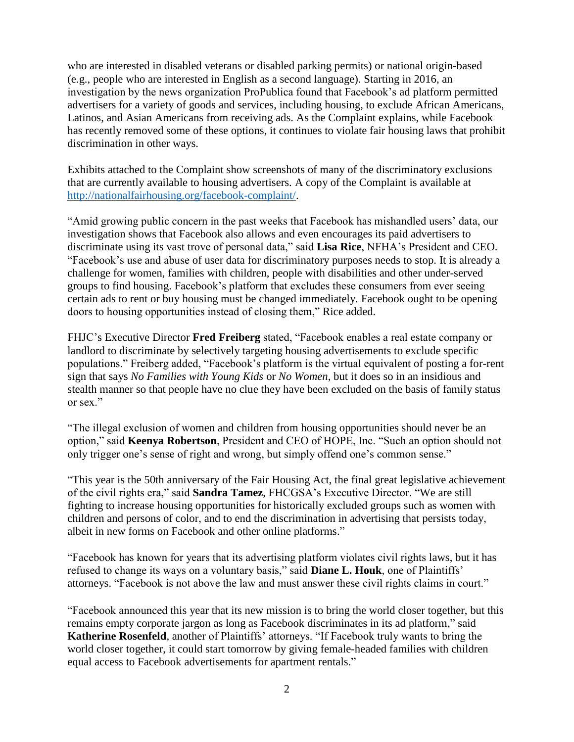who are interested in disabled veterans or disabled parking permits) or national origin-based (e.g., people who are interested in English as a second language). Starting in 2016, an investigation by the news organization ProPublica found that Facebook's ad platform permitted advertisers for a variety of goods and services, including housing, to exclude African Americans, Latinos, and Asian Americans from receiving ads. As the Complaint explains, while Facebook has recently removed some of these options, it continues to violate fair housing laws that prohibit discrimination in other ways.

Exhibits attached to the Complaint show screenshots of many of the discriminatory exclusions that are currently available to housing advertisers. A copy of the Complaint is available at [http://nationalfairhousing.org/facebook-complaint/.](http://nationalfairhousing.org/facebook-complaint/)

"Amid growing public concern in the past weeks that Facebook has mishandled users' data, our investigation shows that Facebook also allows and even encourages its paid advertisers to discriminate using its vast trove of personal data," said **Lisa Rice**, NFHA's President and CEO. "Facebook's use and abuse of user data for discriminatory purposes needs to stop. It is already a challenge for women, families with children, people with disabilities and other under-served groups to find housing. Facebook's platform that excludes these consumers from ever seeing certain ads to rent or buy housing must be changed immediately. Facebook ought to be opening doors to housing opportunities instead of closing them," Rice added.

FHJC's Executive Director **Fred Freiberg** stated, "Facebook enables a real estate company or landlord to discriminate by selectively targeting housing advertisements to exclude specific populations." Freiberg added, "Facebook's platform is the virtual equivalent of posting a for-rent sign that says *No Families with Young Kids* or *No Women*, but it does so in an insidious and stealth manner so that people have no clue they have been excluded on the basis of family status or sex."

"The illegal exclusion of women and children from housing opportunities should never be an option," said **Keenya Robertson**, President and CEO of HOPE, Inc. "Such an option should not only trigger one's sense of right and wrong, but simply offend one's common sense."

"This year is the 50th anniversary of the Fair Housing Act, the final great legislative achievement of the civil rights era," said **Sandra Tamez**, FHCGSA's Executive Director. "We are still fighting to increase housing opportunities for historically excluded groups such as women with children and persons of color, and to end the discrimination in advertising that persists today, albeit in new forms on Facebook and other online platforms."

"Facebook has known for years that its advertising platform violates civil rights laws, but it has refused to change its ways on a voluntary basis," said **Diane L. Houk**, one of Plaintiffs' attorneys. "Facebook is not above the law and must answer these civil rights claims in court."

"Facebook announced this year that its new mission is to bring the world closer together, but this remains empty corporate jargon as long as Facebook discriminates in its ad platform," said **Katherine Rosenfeld**, another of Plaintiffs' attorneys. "If Facebook truly wants to bring the world closer together, it could start tomorrow by giving female-headed families with children equal access to Facebook advertisements for apartment rentals."